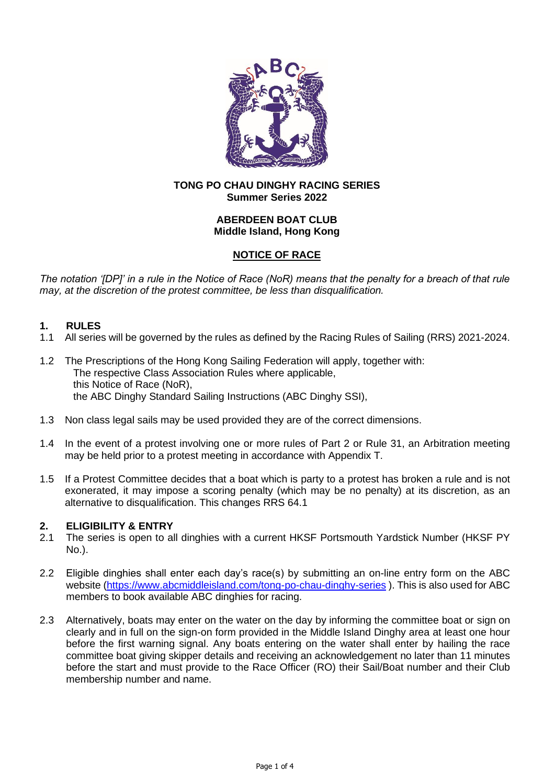

## **TONG PO CHAU DINGHY RACING SERIES Summer Series 2022**

## **ABERDEEN BOAT CLUB Middle Island, Hong Kong**

# **NOTICE OF RACE**

*The notation '[DP]' in a rule in the Notice of Race (NoR) means that the penalty for a breach of that rule may, at the discretion of the protest committee, be less than disqualification.*

## **1. RULES**

- 1.1 All series will be governed by the rules as defined by the Racing Rules of Sailing (RRS) 2021-2024.
- 1.2 The Prescriptions of the Hong Kong Sailing Federation will apply, together with: The respective Class Association Rules where applicable, this Notice of Race (NoR), the ABC Dinghy Standard Sailing Instructions (ABC Dinghy SSI),
- 1.3 Non class legal sails may be used provided they are of the correct dimensions.
- 1.4 In the event of a protest involving one or more rules of Part 2 or Rule 31, an Arbitration meeting may be held prior to a protest meeting in accordance with Appendix T.
- 1.5 If a Protest Committee decides that a boat which is party to a protest has broken a rule and is not exonerated, it may impose a scoring penalty (which may be no penalty) at its discretion, as an alternative to disqualification. This changes RRS 64.1

## **2. ELIGIBILITY & ENTRY**

- 2.1 The series is open to all dinghies with a current HKSF Portsmouth Yardstick Number (HKSF PY No.).
- 2.2 Eligible dinghies shall enter each day's race(s) by submitting an on-line entry form on the ABC website [\(https://www.abcmiddleisland.com/tong-po-chau-dinghy-series](https://www.abcmiddleisland.com/tong-po-chau-dinghy-series)). This is also used for ABC members to book available ABC dinghies for racing.
- 2.3 Alternatively, boats may enter on the water on the day by informing the committee boat or sign on clearly and in full on the sign-on form provided in the Middle Island Dinghy area at least one hour before the first warning signal. Any boats entering on the water shall enter by hailing the race committee boat giving skipper details and receiving an acknowledgement no later than 11 minutes before the start and must provide to the Race Officer (RO) their Sail/Boat number and their Club membership number and name.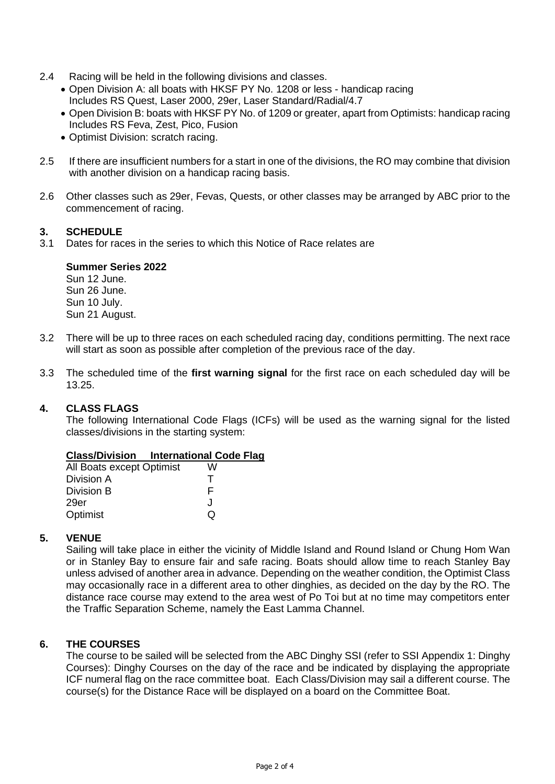- 2.4 Racing will be held in the following divisions and classes.
	- Open Division A: all boats with HKSF PY No. 1208 or less handicap racing Includes RS Quest, Laser 2000, 29er, Laser Standard/Radial/4.7
	- Open Division B: boats with HKSF PY No. of 1209 or greater, apart from Optimists: handicap racing Includes RS Feva, Zest, Pico, Fusion
	- Optimist Division: scratch racing.
- 2.5 If there are insufficient numbers for a start in one of the divisions, the RO may combine that division with another division on a handicap racing basis.
- 2.6 Other classes such as 29er, Fevas, Quests, or other classes may be arranged by ABC prior to the commencement of racing.

## **3. SCHEDULE**

3.1 Dates for races in the series to which this Notice of Race relates are

#### **Summer Series 2022**

Sun 12 June. Sun 26 June. Sun 10 July. Sun 21 August.

- 3.2 There will be up to three races on each scheduled racing day, conditions permitting. The next race will start as soon as possible after completion of the previous race of the day.
- 3.3 The scheduled time of the **first warning signal** for the first race on each scheduled day will be 13.25.

#### **4. CLASS FLAGS**

The following International Code Flags (ICFs) will be used as the warning signal for the listed classes/divisions in the starting system:

## **Class/Division International Code Flag**

| All Boats except Optimist | W |
|---------------------------|---|
| Division A                | т |
| Division B                | F |
| 29er                      | J |
| Optimist                  | O |

#### **5. VENUE**

Sailing will take place in either the vicinity of Middle Island and Round Island or Chung Hom Wan or in Stanley Bay to ensure fair and safe racing. Boats should allow time to reach Stanley Bay unless advised of another area in advance. Depending on the weather condition, the Optimist Class may occasionally race in a different area to other dinghies, as decided on the day by the RO. The distance race course may extend to the area west of Po Toi but at no time may competitors enter the Traffic Separation Scheme, namely the East Lamma Channel.

## **6. THE COURSES**

The course to be sailed will be selected from the ABC Dinghy SSI (refer to SSI Appendix 1: Dinghy Courses): Dinghy Courses on the day of the race and be indicated by displaying the appropriate ICF numeral flag on the race committee boat. Each Class/Division may sail a different course. The course(s) for the Distance Race will be displayed on a board on the Committee Boat.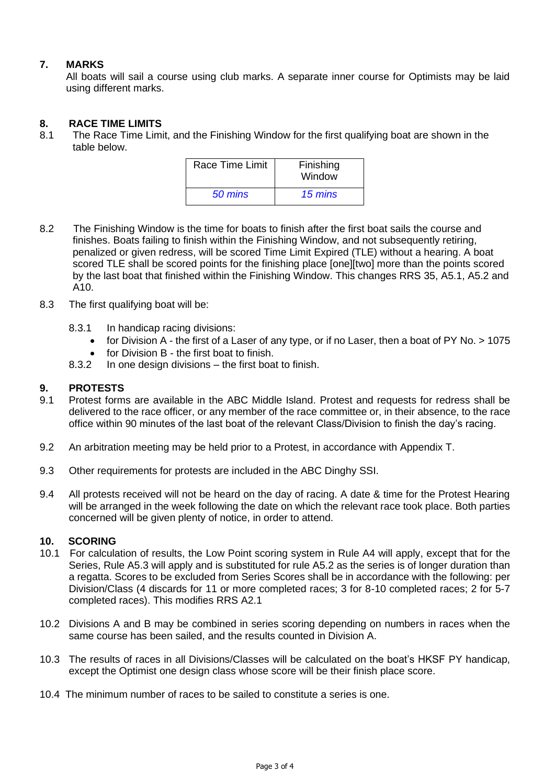# **7. MARKS**

All boats will sail a course using club marks. A separate inner course for Optimists may be laid using different marks.

## **8. RACE TIME LIMITS**

8.1 The Race Time Limit, and the Finishing Window for the first qualifying boat are shown in the table below.

| Race Time Limit | Finishing<br>Window |
|-----------------|---------------------|
| 50 mins         | 15 mins             |

- 8.2 The Finishing Window is the time for boats to finish after the first boat sails the course and finishes. Boats failing to finish within the Finishing Window, and not subsequently retiring, penalized or given redress, will be scored Time Limit Expired (TLE) without a hearing. A boat scored TLE shall be scored points for the finishing place [one][two] more than the points scored by the last boat that finished within the Finishing Window. This changes RRS 35, A5.1, A5.2 and A10.
- 8.3 The first qualifying boat will be:
	- 8.3.1 In handicap racing divisions:
		- for Division A the first of a Laser of any type, or if no Laser, then a boat of PY No. > 1075
		- for Division B the first boat to finish.
	- 8.3.2 In one design divisions the first boat to finish.

# **9. PROTESTS**

- 9.1 Protest forms are available in the ABC Middle Island. Protest and requests for redress shall be delivered to the race officer, or any member of the race committee or, in their absence, to the race office within 90 minutes of the last boat of the relevant Class/Division to finish the day's racing.
- 9.2 An arbitration meeting may be held prior to a Protest, in accordance with Appendix T.
- 9.3 Other requirements for protests are included in the ABC Dinghy SSI.
- 9.4 All protests received will not be heard on the day of racing. A date & time for the Protest Hearing will be arranged in the week following the date on which the relevant race took place. Both parties concerned will be given plenty of notice, in order to attend.

#### **10. SCORING**

- 10.1 For calculation of results, the Low Point scoring system in Rule A4 will apply, except that for the Series, Rule A5.3 will apply and is substituted for rule A5.2 as the series is of longer duration than a regatta. Scores to be excluded from Series Scores shall be in accordance with the following: per Division/Class (4 discards for 11 or more completed races; 3 for 8-10 completed races; 2 for 5-7 completed races). This modifies RRS A2.1
- 10.2 Divisions A and B may be combined in series scoring depending on numbers in races when the same course has been sailed, and the results counted in Division A.
- 10.3 The results of races in all Divisions/Classes will be calculated on the boat's HKSF PY handicap, except the Optimist one design class whose score will be their finish place score.
- 10.4 The minimum number of races to be sailed to constitute a series is one.